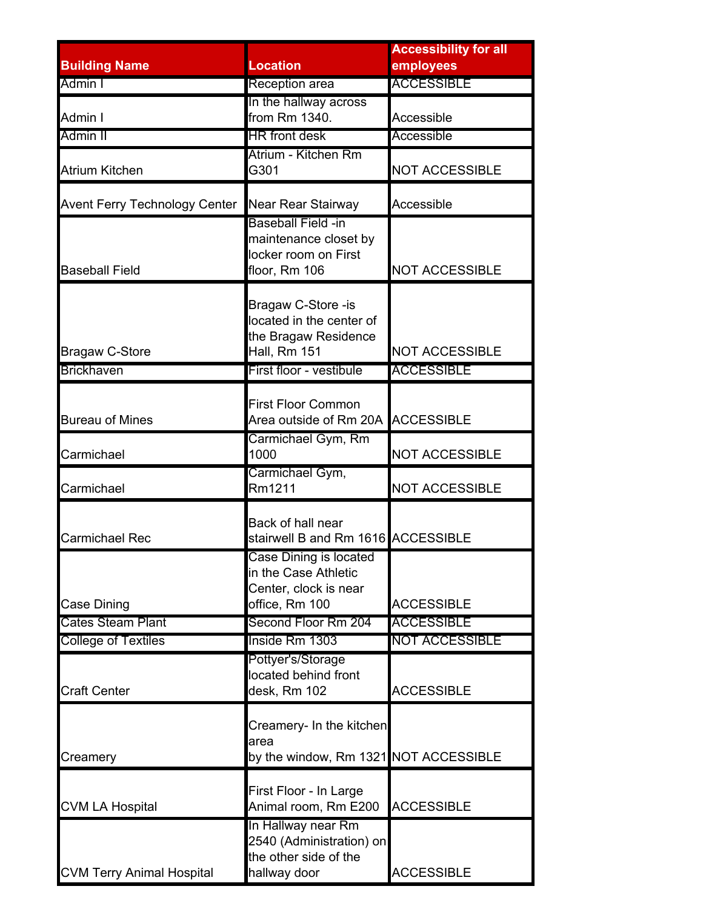|                                      |                                                | <b>Accessibility for all</b> |
|--------------------------------------|------------------------------------------------|------------------------------|
| <b>Building Name</b>                 | <b>Location</b>                                | employees                    |
| Admin I                              | Reception area                                 | <b>ACCESSIBLE</b>            |
|                                      | In the hallway across                          |                              |
| Admin I                              | from Rm 1340.                                  | Accessible                   |
| Admin II                             | <b>HR</b> front desk                           | Accessible                   |
|                                      | Atrium - Kitchen Rm                            |                              |
| <b>Atrium Kitchen</b>                | G301                                           | <b>NOT ACCESSIBLE</b>        |
| <b>Avent Ferry Technology Center</b> | <b>Near Rear Stairway</b>                      | Accessible                   |
|                                      | <b>Baseball Field -in</b>                      |                              |
|                                      | maintenance closet by                          |                              |
|                                      | locker room on First                           |                              |
| <b>Baseball Field</b>                | floor, Rm 106                                  | <b>NOT ACCESSIBLE</b>        |
|                                      |                                                |                              |
|                                      | Bragaw C-Store -is                             |                              |
|                                      | located in the center of                       |                              |
|                                      | the Bragaw Residence<br>Hall, Rm 151           | <b>NOT ACCESSIBLE</b>        |
| <b>Bragaw C-Store</b>                | First floor - vestibule                        | <b>ACCESSIBLE</b>            |
| <b>Brickhaven</b>                    |                                                |                              |
|                                      | <b>First Floor Common</b>                      |                              |
| <b>Bureau of Mines</b>               | Area outside of Rm 20A ACCESSIBLE              |                              |
|                                      |                                                |                              |
| Carmichael                           | Carmichael Gym, Rm<br>1000                     | <b>NOT ACCESSIBLE</b>        |
|                                      |                                                |                              |
| Carmichael                           | Carmichael Gym,<br>Rm1211                      |                              |
|                                      |                                                | <b>NOT ACCESSIBLE</b>        |
|                                      | Back of hall near                              |                              |
| <b>Carmichael Rec</b>                | stairwell B and Rm 1616 ACCESSIBLE             |                              |
|                                      |                                                |                              |
|                                      | Case Dining is located<br>in the Case Athletic |                              |
|                                      | Center, clock is near                          |                              |
| <b>Case Dining</b>                   | office, Rm 100                                 | <b>ACCESSIBLE</b>            |
| <b>Cates Steam Plant</b>             | Second Floor Rm 204                            | <b>ACCESSIBLE</b>            |
|                                      | Inside Rm 1303                                 |                              |
| <b>College of Textiles</b>           |                                                | <b>NOT ACCESSIBLE</b>        |
|                                      | Pottyer's/Storage                              |                              |
|                                      | located behind front                           |                              |
| <b>Craft Center</b>                  | desk, Rm 102                                   | <b>ACCESSIBLE</b>            |
|                                      |                                                |                              |
|                                      | Creamery- In the kitchen<br>area               |                              |
| Creamery                             | by the window, Rm 1321 NOT ACCESSIBLE          |                              |
|                                      |                                                |                              |
|                                      | First Floor - In Large                         |                              |
| <b>CVM LA Hospital</b>               | Animal room, Rm E200 ACCESSIBLE                |                              |
|                                      | In Hallway near Rm                             |                              |
|                                      | 2540 (Administration) on                       |                              |
|                                      | the other side of the                          |                              |
| <b>CVM Terry Animal Hospital</b>     | hallway door                                   | <b>ACCESSIBLE</b>            |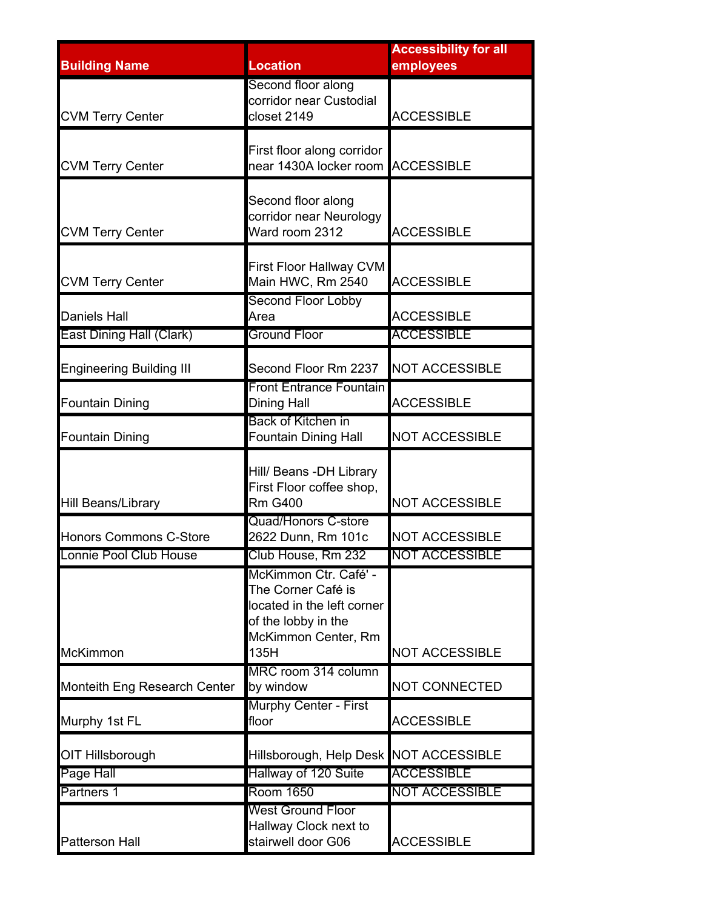|                               |                                                                 | <b>Accessibility for all</b> |
|-------------------------------|-----------------------------------------------------------------|------------------------------|
| <b>Building Name</b>          | <b>Location</b>                                                 | employees                    |
|                               | Second floor along                                              |                              |
|                               | corridor near Custodial                                         |                              |
| <b>CVM Terry Center</b>       | closet 2149                                                     | <b>ACCESSIBLE</b>            |
|                               |                                                                 |                              |
| <b>CVM Terry Center</b>       | First floor along corridor<br>near 1430A locker room ACCESSIBLE |                              |
|                               |                                                                 |                              |
|                               | Second floor along                                              |                              |
|                               | corridor near Neurology                                         |                              |
| <b>CVM Terry Center</b>       | Ward room 2312                                                  | <b>ACCESSIBLE</b>            |
|                               |                                                                 |                              |
|                               | <b>First Floor Hallway CVM</b>                                  |                              |
| <b>CVM Terry Center</b>       | Main HWC, Rm 2540                                               | <b>ACCESSIBLE</b>            |
| <b>Daniels Hall</b>           | Second Floor Lobby<br>Area                                      | <b>ACCESSIBLE</b>            |
| East Dining Hall (Clark)      | <b>Ground Floor</b>                                             | <b>ACCESSIBLE</b>            |
|                               |                                                                 |                              |
| Engineering Building III      | Second Floor Rm 2237                                            | <b>NOT ACCESSIBLE</b>        |
|                               | <b>Front Entrance Fountain</b>                                  |                              |
| <b>Fountain Dining</b>        | Dining Hall                                                     | <b>ACCESSIBLE</b>            |
|                               | Back of Kitchen in                                              |                              |
| <b>Fountain Dining</b>        | <b>Fountain Dining Hall</b>                                     | <b>NOT ACCESSIBLE</b>        |
|                               |                                                                 |                              |
|                               | Hill/ Beans -DH Library                                         |                              |
| <b>Hill Beans/Library</b>     | First Floor coffee shop,<br><b>Rm G400</b>                      | <b>NOT ACCESSIBLE</b>        |
|                               | <b>Quad/Honors C-store</b>                                      |                              |
| <b>Honors Commons C-Store</b> | 2622 Dunn, Rm 101c                                              | <b>NOT ACCESSIBLE</b>        |
| Lonnie Pool Club House        | Club House, Rm 232                                              | <b>NOT ACCESSIBLE</b>        |
|                               | McKimmon Ctr. Café' -                                           |                              |
|                               | The Corner Café is                                              |                              |
|                               | located in the left corner                                      |                              |
|                               | of the lobby in the                                             |                              |
|                               | McKimmon Center, Rm                                             |                              |
| <b>McKimmon</b>               | 135H                                                            | <b>NOT ACCESSIBLE</b>        |
| Monteith Eng Research Center  | MRC room 314 column<br>by window                                | <b>NOT CONNECTED</b>         |
|                               | Murphy Center - First                                           |                              |
| Murphy 1st FL                 | floor                                                           | <b>ACCESSIBLE</b>            |
|                               |                                                                 |                              |
| OIT Hillsborough              | Hillsborough, Help Desk NOT ACCESSIBLE                          |                              |
| Page Hall                     | Hallway of 120 Suite                                            | <b>ACCESSIBLE</b>            |
| <b>Partners 1</b>             | <b>Room 1650</b>                                                | <b>NOT ACCESSIBLE</b>        |
|                               | West Ground Floor                                               |                              |
|                               | Hallway Clock next to                                           |                              |
| <b>Patterson Hall</b>         | stairwell door G06                                              | <b>ACCESSIBLE</b>            |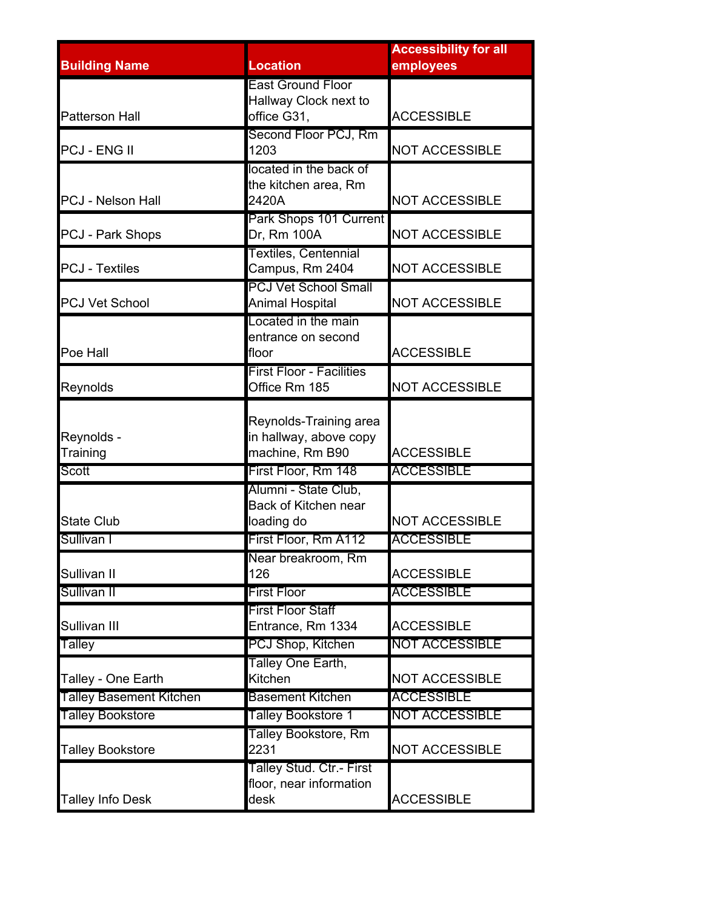| <b>Building Name</b>     | <b>Location</b>                                       | <b>Accessibility for all</b><br>employees |
|--------------------------|-------------------------------------------------------|-------------------------------------------|
|                          | <b>East Ground Floor</b>                              |                                           |
|                          | Hallway Clock next to                                 |                                           |
| <b>Patterson Hall</b>    | office G31,                                           | <b>ACCESSIBLE</b>                         |
|                          | Second Floor PCJ, Rm                                  |                                           |
| <b>PCJ - ENG II</b>      | 1203                                                  | <b>NOT ACCESSIBLE</b>                     |
|                          | located in the back of<br>the kitchen area, Rm        |                                           |
| <b>PCJ - Nelson Hall</b> | 2420A                                                 | <b>NOT ACCESSIBLE</b>                     |
|                          | Park Shops 101 Current                                |                                           |
| <b>PCJ - Park Shops</b>  | Dr, Rm 100A                                           | <b>NOT ACCESSIBLE</b>                     |
|                          | Textiles, Centennial                                  |                                           |
| <b>PCJ</b> - Textiles    | Campus, Rm 2404                                       | <b>NOT ACCESSIBLE</b>                     |
| <b>PCJ Vet School</b>    | <b>PCJ Vet School Small</b><br><b>Animal Hospital</b> | <b>NOT ACCESSIBLE</b>                     |
|                          | Located in the main                                   |                                           |
|                          | entrance on second                                    |                                           |
| Poe Hall                 | floor                                                 | <b>ACCESSIBLE</b>                         |
| Reynolds                 | <b>First Floor - Facilities</b><br>Office Rm 185      | <b>NOT ACCESSIBLE</b>                     |
|                          |                                                       |                                           |
|                          | Reynolds-Training area                                |                                           |
| Reynolds -               | in hallway, above copy                                |                                           |
| Training                 | machine, Rm B90                                       | <b>ACCESSIBLE</b>                         |
| Scott                    | First Floor, Rm 148                                   | <b>ACCESSIBLE</b>                         |
|                          | Alumni - State Club,                                  |                                           |
| <b>State Club</b>        | Back of Kitchen near<br>loading do                    | <b>NOT ACCESSIBLE</b>                     |
| Sullivan I               | First Floor, Rm A112                                  | <b>ACCESSIBLE</b>                         |
|                          | Near breakroom, Rm                                    |                                           |
| Sullivan II              | 126                                                   | <b>ACCESSIBLE</b>                         |
| Sullivan II              | <b>First Floor</b>                                    | <b>ACCESSIBLE</b>                         |
|                          | <b>First Floor Staff</b>                              |                                           |
| Sullivan III             | Entrance, Rm 1334                                     | <b>ACCESSIBLE</b>                         |
| Talley                   | PCJ Shop, Kitchen                                     | <b>NOT ACCESSIBLE</b>                     |
|                          | Talley One Earth,                                     |                                           |
| Talley - One Earth       | <b>Kitchen</b>                                        | <b>NOT ACCESSIBLE</b>                     |
| Talley Basement Kitchen  | <b>Basement Kitchen</b>                               | <b>ACCESSIBLE</b>                         |
| <b>Talley Bookstore</b>  | Talley Bookstore 1                                    | <b>NOT ACCESSIBLE</b>                     |
| <b>Talley Bookstore</b>  | <b>Talley Bookstore, Rm</b><br>2231                   | <b>NOT ACCESSIBLE</b>                     |
|                          | Talley Stud. Ctr.- First                              |                                           |
|                          | floor, near information                               |                                           |
| <b>Talley Info Desk</b>  | desk                                                  | <b>ACCESSIBLE</b>                         |